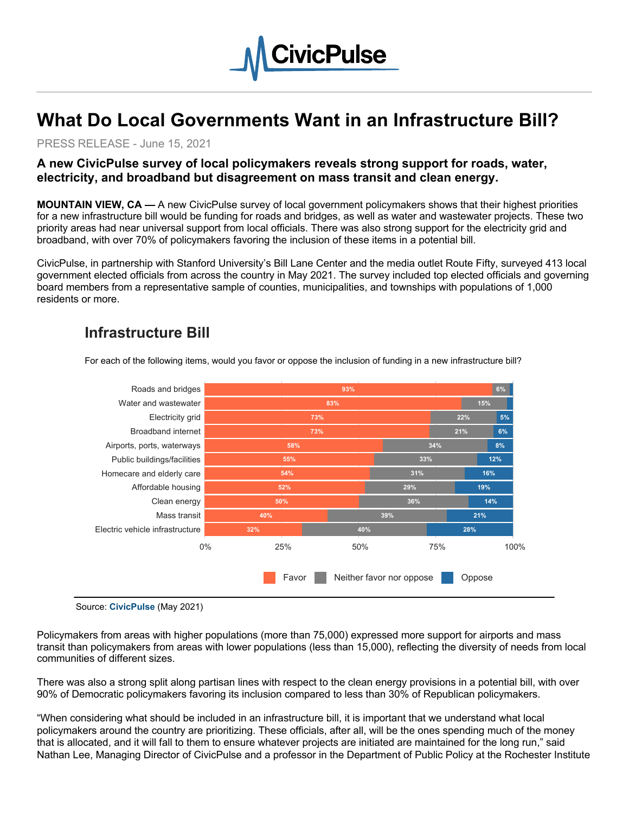

# **What Do Local Governments Want in an Infrastructure Bill?**

PRESS RELEASE - June 15, 2021

### **A new CivicPulse survey of local policymakers reveals strong support for roads, water, electricity, and broadband but disagreement on mass transit and clean energy.**

**MOUNTAIN VIEW, CA —** A new CivicPulse survey of local government policymakers shows that their highest priorities for a new infrastructure bill would be funding for roads and bridges, as well as water and wastewater projects. These two priority areas had near universal support from local officials. There was also strong support for the electricity grid and broadband, with over 70% of policymakers favoring the inclusion of these items in a potential bill.

CivicPulse, in partnership with Stanford University's Bill Lane Center and the media outlet Route Fifty, surveyed 413 local government elected officials from across the country in May 2021. The survey included top elected officials and governing board members from a representative sample of counties, municipalities, and townships with populations of 1,000 residents or more.

#### 93% 6% for the contract of the contract of the contract of the contract of the contract of the contract of the 73% 5% 5% 52% 29% 19% 40% 39% 21%  $83\%$  15% and  $15\%$ 73% 8% and 21% and 21% and 21% and 21% and 21% and 21% and 21% and 21% and 21% and 21% and 21% and 21% and 21% 32% 40% 28% 55% 33% 12% 58% 34% 8% 50% 36% 14% 54% 31% 16% Electric vehicle infrastructure Mass transit Clean energy Affordable housing Homecare and elderly care Public buildings/facilities Airports, ports, waterways Broadband internet Electricity grid Water and wastewater Roads and bridges 0% 25% 50% 75% 100% Favor Neither favor nor oppose **Oppose**

# Infrastructure Bill

For each of the following items, would you favor or oppose the inclusion of funding in a new infrastructure bill?

Source: CivicPulse (May 2021)

Policymakers from areas with higher populations (more than 75,000) expressed more support for airports and mass transit than policymakers from areas with lower populations (less than 15,000), reflecting the diversity of needs from local communities of different sizes.

There was also a strong split along partisan lines with respect to the clean energy provisions in a potential bill, with over 90% of Democratic policymakers favoring its inclusion compared to less than 30% of Republican policymakers.

"When considering what should be included in an infrastructure bill, it is important that we understand what local policymakers around the country are prioritizing. These officials, after all, will be the ones spending much of the money that is allocated, and it will fall to them to ensure whatever projects are initiated are maintained for the long run," said Nathan Lee, Managing Director of CivicPulse and a professor in the Department of Public Policy at the Rochester Institute